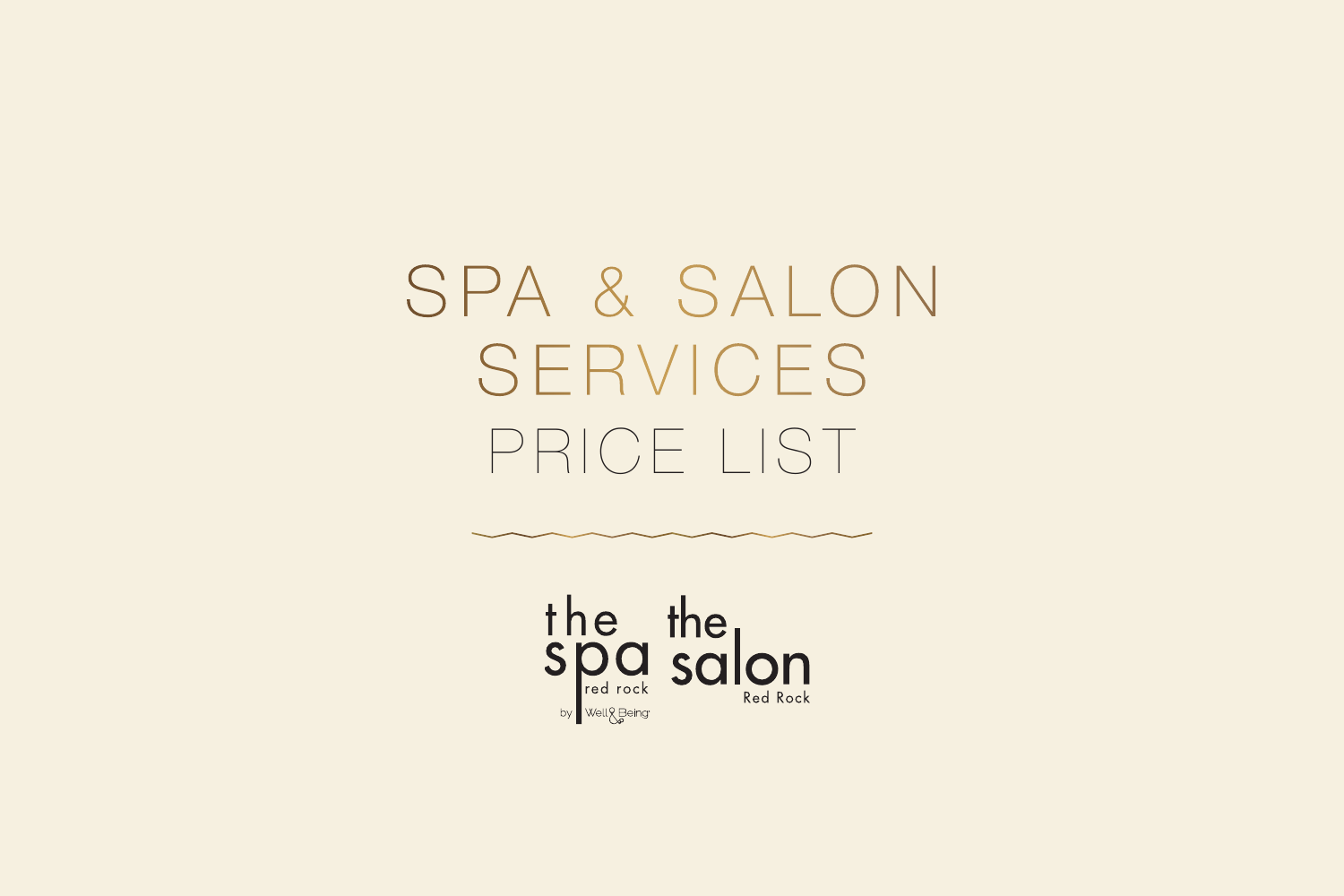SPA & SALON SERVICES PRICE LIST

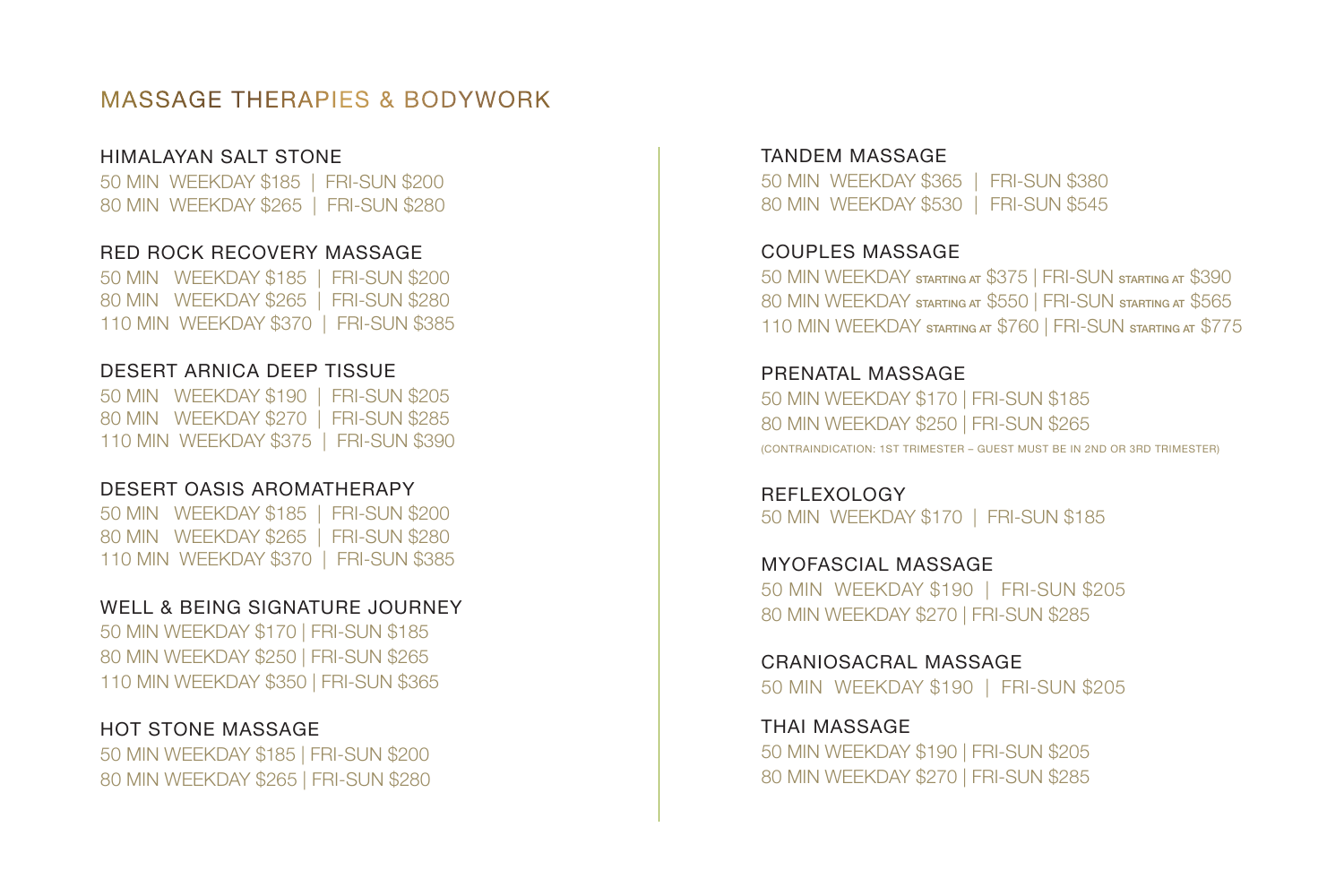## MASSAGE THERAPIES & BODYWORK

#### HIMALAYAN SALT STONE

50 MIN WEEKDAY \$185 | FRI-SUN \$200 80 MIN WEEKDAY \$265 | FRI-SUN \$280

#### RED ROCK RECOVERY MASSAGE

50 MIN WEEKDAY \$185 | FRI-SUN \$200 80 MIN WEEKDAY \$265 | FRI-SUN \$280 110 MIN WEEKDAY \$370 | FRI-SUN \$385

#### DESERT ARNICA DEEP TISSUE

50 MIN WEEKDAY \$190 | FRI-SUN \$205 80 MIN WEEKDAY \$270 | FRI-SUN \$285 110 MIN WEEKDAY \$375 | FRI-SUN \$390

#### DESERT OASIS AROMATHERAPY

50 MIN WEEKDAY \$185 | FRI-SUN \$200 80 MIN WEEKDAY \$265 | FRI-SUN \$280 110 MIN WEEKDAY \$370 | FRI-SUN \$385

#### WELL & BEING SIGNATURE JOURNEY

50 MIN WEEKDAY \$170 | FRI-SUN \$185 80 MIN WEEKDAY \$250 | FRI-SUN \$265 110 MIN WEEKDAY \$350 | FRI-SUN \$365

#### HOT STONE MASSAGE

50 MIN WEEKDAY \$185 | FRI-SUN \$200 80 MIN WEEKDAY \$265 | FRI-SUN \$280

#### TANDEM MASSAGE

50 MIN WEEKDAY \$365 | FRI-SUN \$380 80 MIN WEEKDAY \$530 | FRI-SUN \$545

#### COUPLES MASSAGE

50 MIN WEEKDAY STARTING AT \$375 | FRI-SUN STARTING AT \$390 80 MIN WEEKDAY STARTING AT \$550 | FRI-SUN STARTING AT \$565 110 MIN WEEKDAY STARTING AT \$760 | FRI-SUN STARTING AT \$775

#### PRENATAL MASSAGE 50 MIN WEEKDAY \$170 | FRI-SUN \$185 80 MIN WEEKDAY \$250 | FRI-SUN \$265 (CONTRAINDICATION: 1ST TRIMESTER – GUEST MUST BE IN 2ND OR 3RD TRIMESTER)

REFLEXOLOGY 50 MIN WEEKDAY \$170 | FRI-SUN \$185

MYOFASCIAL MASSAGE 50 MIN WEEKDAY \$190 | FRI-SUN \$205 80 MIN WEEKDAY \$270 | FRI-SUN \$285

CRANIOSACRAL MASSAGE 50 MIN WEEKDAY \$190 | FRI-SUN \$205

THAI MASSAGE 50 MIN WEEKDAY \$190 | FRI-SUN \$205 80 MIN WEEKDAY \$270 | FRI-SUN \$285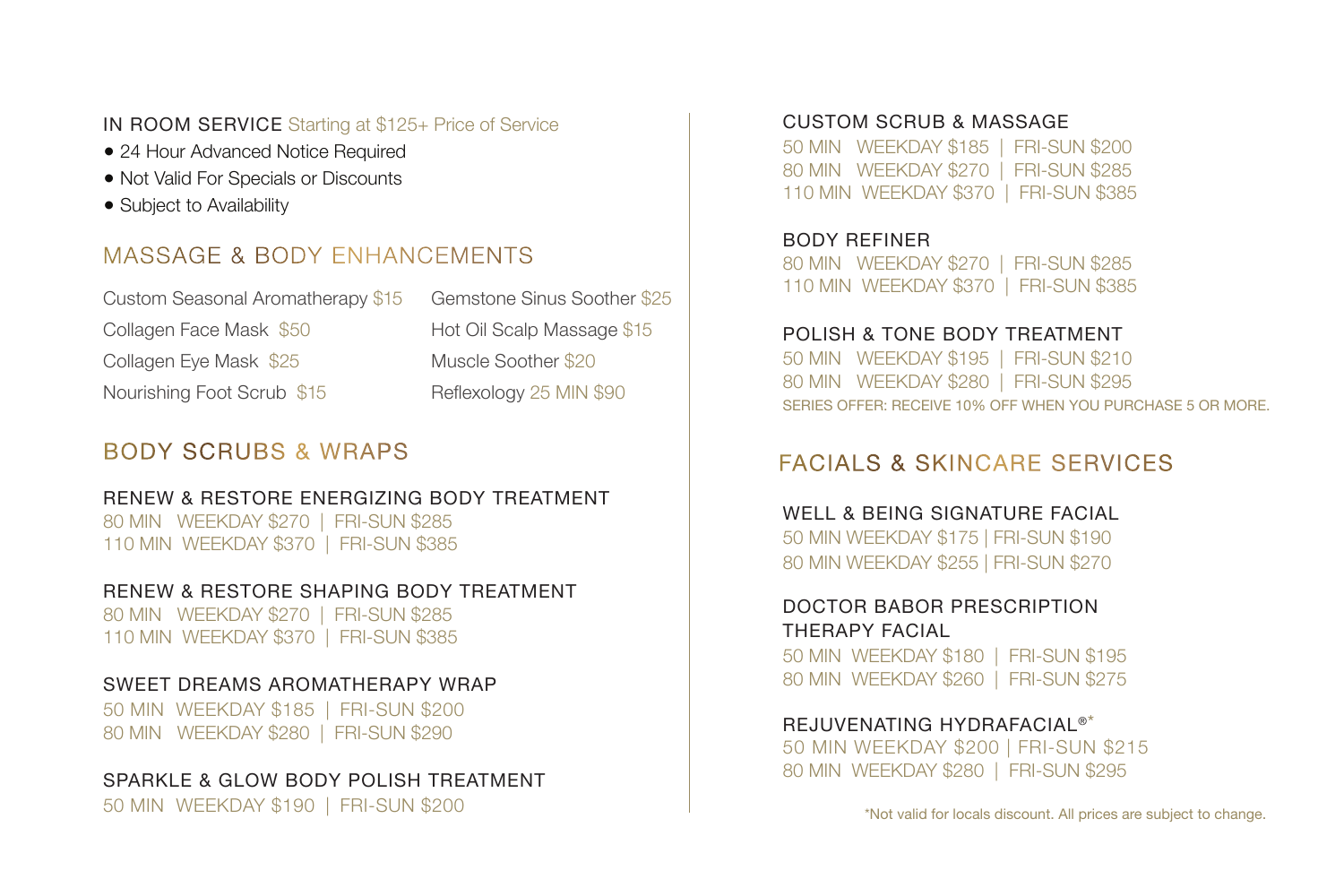#### IN ROOM SERVICE Starting at \$125+ Price of Service

- 24 Hour Advanced Notice Required
- Not Valid For Specials or Discounts
- Subject to Availability

## MASSAGE & BODY ENHANCEMENTS

| Custom Seasonal Aromatherapy \$15 | Gemstone Sinus Soother \$25 |
|-----------------------------------|-----------------------------|
| Collagen Face Mask \$50           | Hot Oil Scalp Massage \$15  |
| Collagen Eye Mask \$25            | Muscle Soother \$20         |
| Nourishing Foot Scrub \$15        | Reflexology 25 MIN \$90     |

## BODY SCRUBS & WRAPS

#### RENEW & RESTORE ENERGIZING BODY TREATMENT

80 MIN WEEKDAY \$270 | FRI-SUN \$285 110 MIN WEEKDAY \$370 | FRI-SUN \$385

#### RENEW & RESTORE SHAPING BODY TREATMENT

80 MIN WEEKDAY \$270 | FRI-SUN \$285 110 MIN WEEKDAY \$370 | FRI-SUN \$385

#### SWEET DREAMS AROMATHERAPY WRAP

50 MIN WEEKDAY \$185 | FRI-SUN \$200 80 MIN WEEKDAY \$280 | FRI-SUN \$290

#### SPARKLE & GLOW BODY POLISH TREATMENT

50 MIN WEEKDAY \$190 | FRI-SUN \$200

#### CUSTOM SCRUB & MASSAGE

50 MIN WEEKDAY \$185 | FRI-SUN \$200 80 MIN WEEKDAY \$270 | FRI-SUN \$285 110 MIN WEEKDAY \$370 | FRI-SUN \$385

BODY REFINER 80 MIN WEEKDAY \$270 | FRI-SUN \$285 110 MIN WEEKDAY \$370 | FRI-SUN \$385

#### POLISH & TONE BODY TREATMENT

50 MIN WEEKDAY \$195 | FRI-SUN \$210 80 MIN WEEKDAY \$280 | FRI-SUN \$295 SERIES OFFER: RECEIVE 10% OFF WHEN YOU PURCHASE 5 OR MORE.

## FACIALS & SKINCARE SERVICES

#### WELL & BEING SIGNATURE FACIAL

50 MIN WEEKDAY \$175 | FRI-SUN \$190 80 MIN WEEKDAY \$255 | FRI-SUN \$270

#### DOCTOR BABOR PRESCRIPTION THERAPY FACIAL

50 MIN WEEKDAY \$180 | FRI-SUN \$195 80 MIN WEEKDAY \$260 | FRI-SUN \$275

#### REJUVENATING HYDRAFACIAL®\*

50 MIN WEEKDAY \$200 | FRI-SUN \$215 80 MIN WEEKDAY \$280 | FRI-SUN \$295

\*Not valid for locals discount. All prices are subject to change.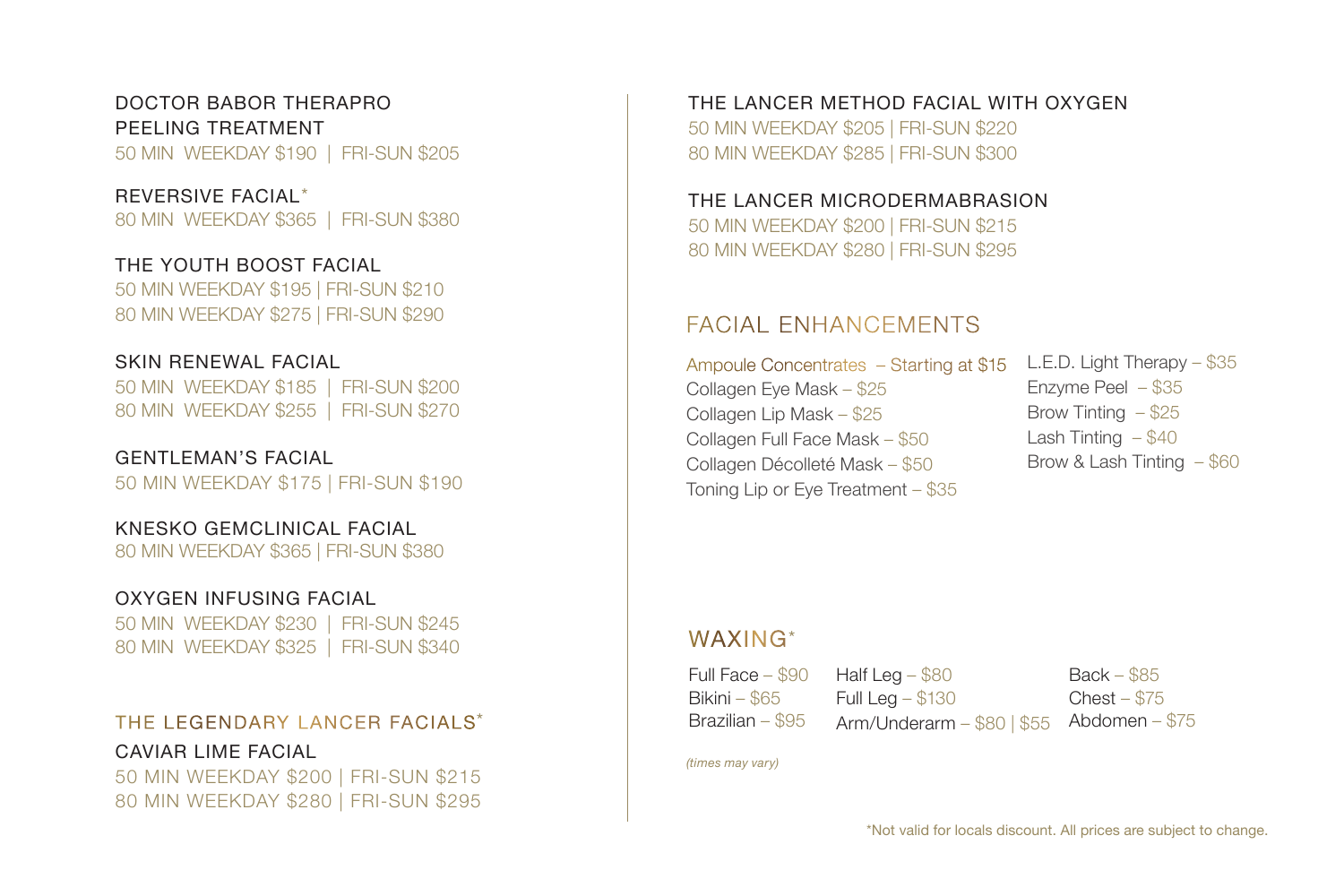### DOCTOR BABOR THERAPRO PEELING TREATMENT

50 MIN WEEKDAY \$190 | FRI-SUN \$205

#### REVERSIVE FACIAL \*

80 MIN WEEKDAY \$365 | FRI-SUN \$380

#### THE YOUTH BOOST FACIAL

50 MIN WEEKDAY \$195 | FRI-SUN \$210 80 MIN WEEKDAY \$275 | FRI-SUN \$290

#### SKIN RENEWAL FACIAL

50 MIN WEEKDAY \$185 | FRI-SUN \$200 80 MIN WEEKDAY \$255 | FRI-SUN \$270

#### GENTLEMAN'S FACIAL

50 MIN WEEKDAY \$175 | FRI-SUN \$190

#### KNESKO GEMCLINICAL FACIAL

80 MIN WEEKDAY \$365 | FRI-SUN \$380

#### OXYGEN INFUSING FACIAL

50 MIN WEEKDAY \$230 | FRI-SUN \$245 80 MIN WEEKDAY \$325 | FRI-SUN \$340

## THE LEGENDARY LANCER FACIALS \* CAVIAR LIME FACIAL 50 MIN WEEKDAY \$200 | FRI-SUN \$215

80 MIN WEEKDAY \$280 | FRI-SUN \$295

THE LANCER METHOD FACIAL WITH OXYGEN 50 MIN WEEKDAY \$205 | FRI-SUN \$220 80 MIN WEEKDAY \$285 | FRI-SUN \$300

#### THE LANCER MICRODERMABRASION 50 MIN WEEKDAY \$200 | FRI-SUN \$215 80 MIN WEEKDAY \$280 | FRI-SUN \$295

## FACIAL ENHANCEMENTS

Ampoule Concentrates – Starting at \$15 Collagen Eye Mask – \$25 Collagen Lip Mask – \$25 Collagen Full Face Mask – \$50 Collagen Décolleté Mask – \$50 Toning Lip or Eye Treatment – \$35

## L.E.D. Light Therapy – \$35 Enzyme Peel – \$35 Brow Tinting – \$25 Lash Tinting  $- $40$ Brow & Lash Tinting – \$60

## WAXING\*

Full Face – \$90 Bikini – \$65 Brazilian – \$95

Half Leg  $-$  \$80 Full Leg – \$130

Back – \$85 Chest – \$75 Arm/Underarm – \$80 | \$55 Abdomen – \$75

*(times may vary)*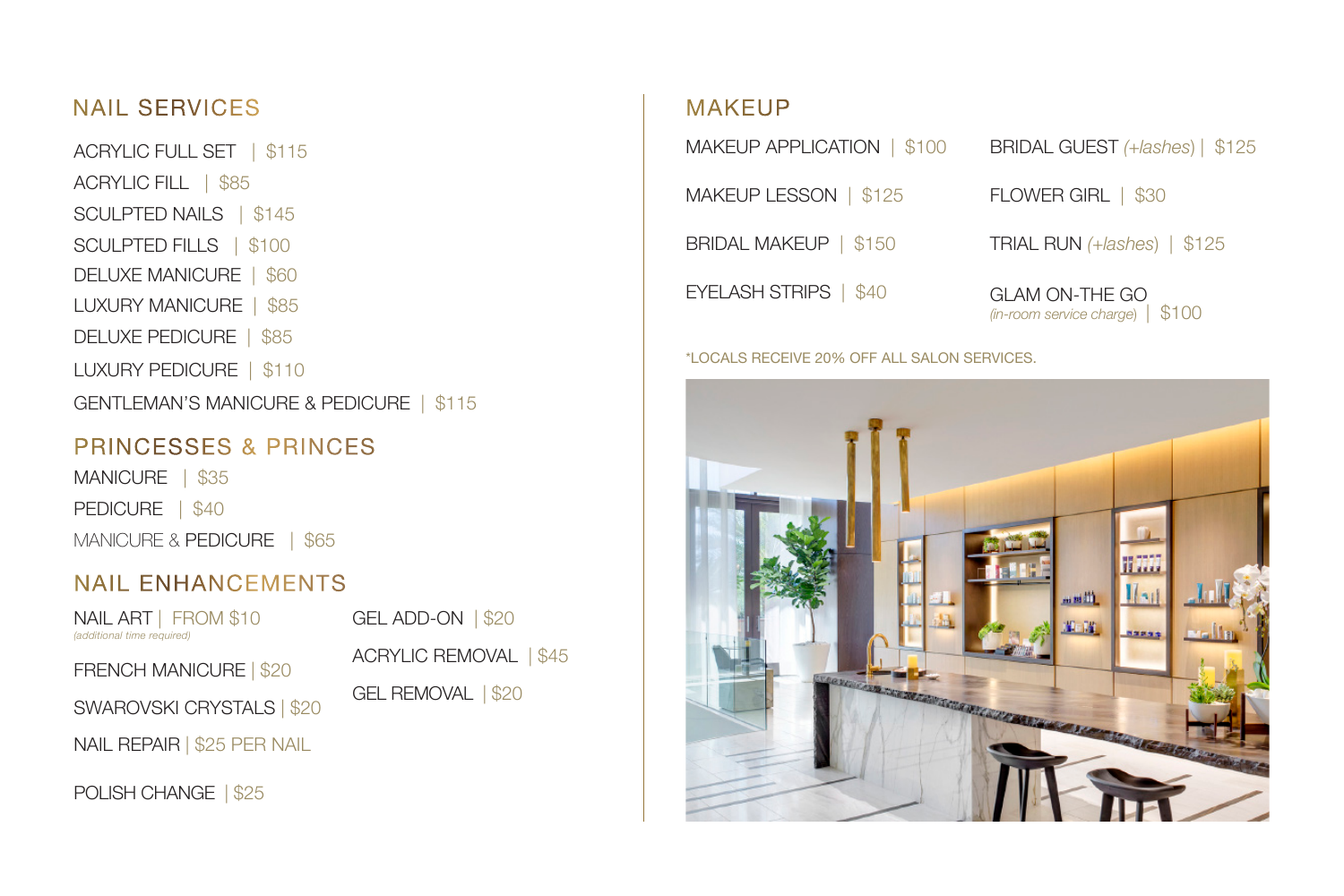## NAIL SERVICES

ACRYLIC FULL SET | \$115 ACRYLIC FILL | \$85 SCULPTED NAILS | \$145 SCULPTED FILLS | \$100 DELUXE MANICURE | \$60 LUXURY MANICURE | \$85 DELUXE PEDICURE | \$85 LUXURY PEDICURE | \$110 GENTLEMAN'S MANICURE & PEDICURE | \$115

## PRINCESSES & PRINCES

MANICURE | \$35 PEDICURE | \$40 MANICURE & PEDICURE | \$65

## NAIL ENHANCEMENTS

NAIL ART | FROM \$10 GEL ADD-ON | \$20 *(additional time required)* FRENCH MANICURE | \$20 SWAROVSKI CRYSTALS | \$20 NAIL REPAIR | \$25 PER NAIL

POLISH CHANGE | \$25

ACRYLIC REMOVAL | \$45 GEL REMOVAL | \$20

## MAKEUP

MAKEUP APPLICATION | \$100

MAKEUP LESSON | \$125

BRIDAL MAKEUP | \$150

EYELASH STRIPS | \$40

BRIDAL GUEST *(+lashes*) | \$125 FLOWER GIRL | \$30 TRIAL RUN *(+lashes*) | \$125

GLAM ON-THE GO *(in-room service charge*) | \$100

#### \*LOCALS RECEIVE 20% OFF ALL SALON SERVICES.

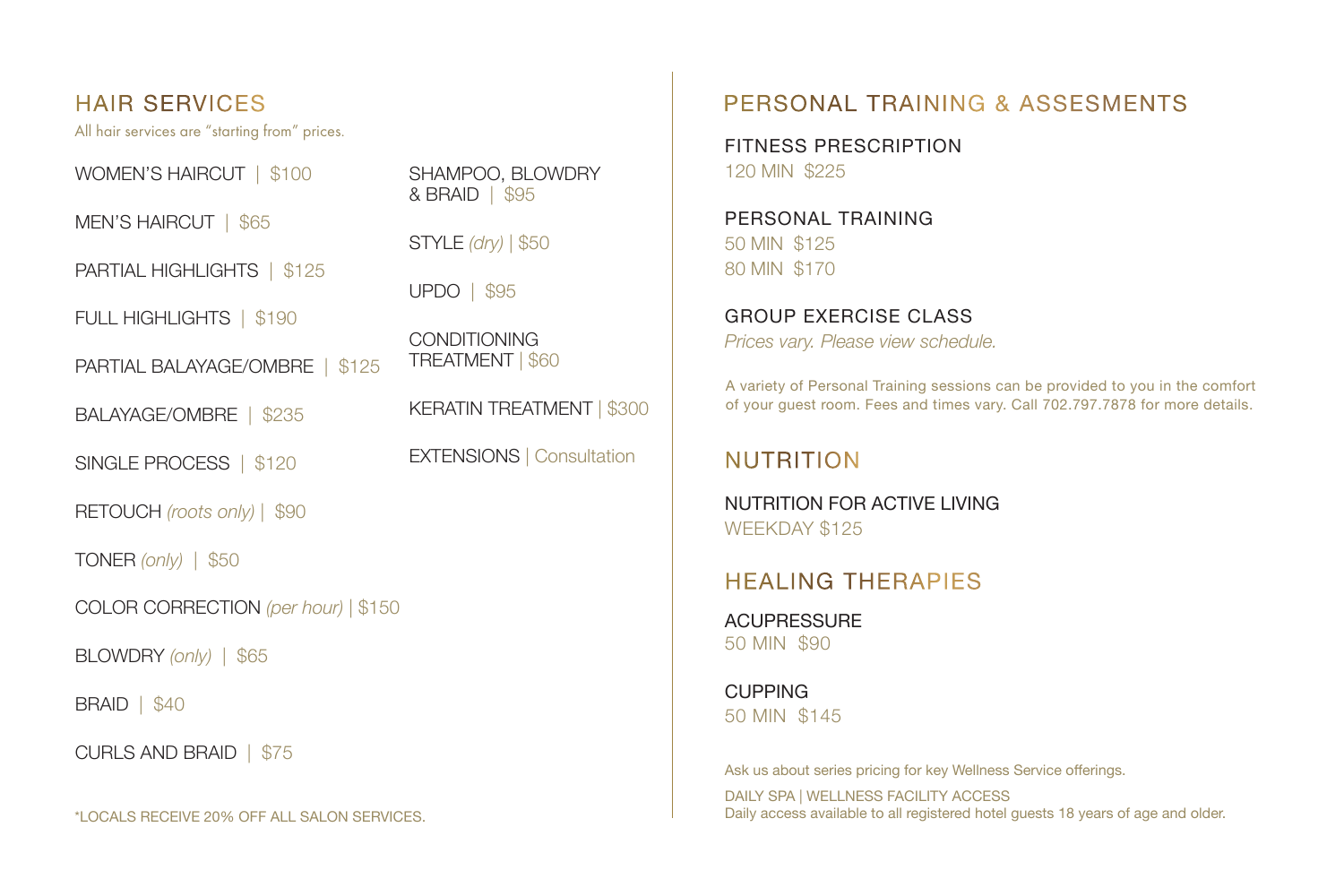HAIR SERVICES

All hair services are "starting from" prices.

WOMEN'S HAIRCUT | \$100

MEN'S HAIRCUT | \$65

PARTIAL HIGHLIGHTS | \$125

FULL HIGHLIGHTS | \$190

PARTIAL BALAYAGE/OMBRE | \$125

BALAYAGE/OMBRE | \$235

SINGLE PROCESS | \$120

RETOUCH *(roots only)* | \$90

TONER *(only)* | \$50

COLOR CORRECTION *(per hour)* | \$150

BLOWDRY *(only)* | \$65

BRAID | \$40

CURLS AND BRAID | \$75

\*LOCALS RECEIVE 20% OFF ALL SALON SERVICES.

SHAMPOO, BLOWDRY & BRAID | \$95

STYLE *(dry)* | \$50

UPDO | \$95

**CONDITIONING** TREATMENT | \$60

KERATIN TREATMENT | \$300

EXTENSIONS *|* Consultation

## PERSONAL TRAINING & ASSESMENTS

FITNESS PRESCRIPTION 120 MIN \$225

PERSONAL TRAINING 50 MIN \$125 80 MIN \$170

GROUP EXERCISE CLASS *Prices vary. Please view schedule.*

A variety of Personal Training sessions can be provided to you in the comfort of your guest room. Fees and times vary. Call 702.797.7878 for more details.

## NUTRITION

NUTRITION FOR ACTIVE LIVING WEEKDAY \$125

## HEALING THERAPIES

**ACUPRESSURE** 50 MIN \$90

CUPPING 50 MIN \$145

Ask us about series pricing for key Wellness Service offerings. DAILY SPA | WELLNESS FACILITY ACCESS Daily access available to all registered hotel guests 18 years of age and older.